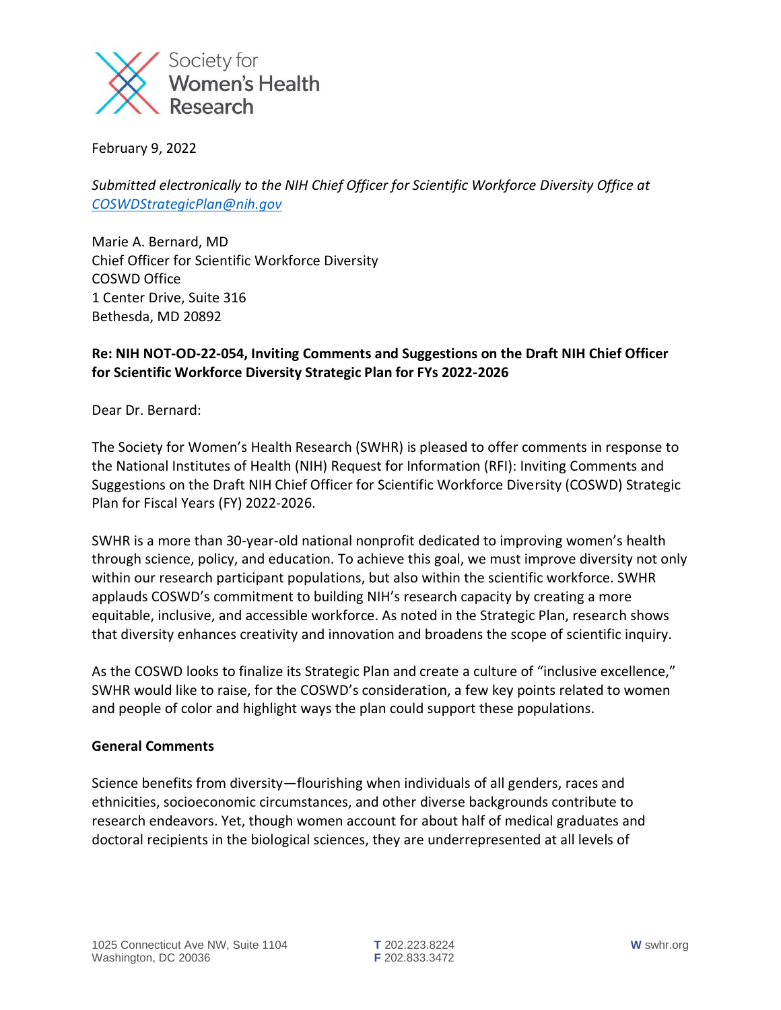

February 9, 2022

*Submitted electronically to the NIH Chief Officer for Scientific Workforce Diversity Office at [COSWDStrategicPlan@nih.gov](mailto:COSWDStrategicPlan@nih.gov)* 

Marie A. Bernard, MD Chief Officer for Scientific Workforce Diversity COSWD Office 1 Center Drive, Suite 316 Bethesda, MD 20892

## **Re: NIH NOT-OD-22-054, Inviting Comments and Suggestions on the Draft NIH Chief Officer for Scientific Workforce Diversity Strategic Plan for FYs 2022-2026**

Dear Dr. Bernard:

The Society for Women's Health Research (SWHR) is pleased to offer comments in response to the National Institutes of Health (NIH) Request for Information (RFI): Inviting Comments and Suggestions on the Draft NIH Chief Officer for Scientific Workforce Diversity (COSWD) Strategic Plan for Fiscal Years (FY) 2022-2026.

SWHR is a more than 30-year-old national nonprofit dedicated to improving women's health through science, policy, and education. To achieve this goal, we must improve diversity not only within our research participant populations, but also within the scientific workforce. SWHR applauds COSWD's commitment to building NIH's research capacity by creating a more equitable, inclusive, and accessible workforce. As noted in the Strategic Plan, research shows that diversity enhances creativity and innovation and broadens the scope of scientific inquiry.

As the COSWD looks to finalize its Strategic Plan and create a culture of "inclusive excellence," SWHR would like to raise, for the COSWD's consideration, a few key points related to women and people of color and highlight ways the plan could support these populations.

## **General Comments**

Science benefits from diversity—flourishing when individuals of all genders, races and ethnicities, socioeconomic circumstances, and other diverse backgrounds contribute to research endeavors. Yet, though women account for about half of medical graduates and doctoral recipients in the biological sciences, they are underrepresented at all levels of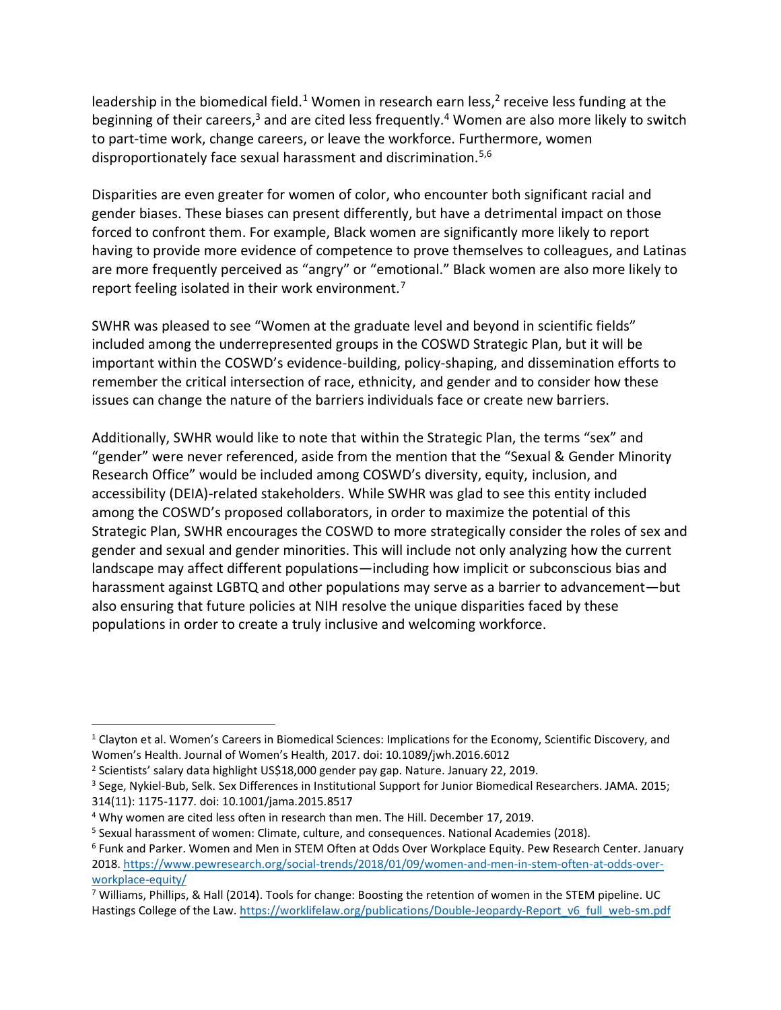leadership in the biomedical field.<sup>1</sup> Women in research earn less,<sup>2</sup> receive less funding at the beginning of their careers,<sup>3</sup> and are cited less frequently.<sup>4</sup> Women are also more likely to switch to part-time work, change careers, or leave the workforce. Furthermore, women disproportionately face sexual harassment and discrimination.<sup>5,6</sup>

Disparities are even greater for women of color, who encounter both significant racial and gender biases. These biases can present differently, but have a detrimental impact on those forced to confront them. For example, Black women are significantly more likely to report having to provide more evidence of competence to prove themselves to colleagues, and Latinas are more frequently perceived as "angry" or "emotional." Black women are also more likely to report feeling isolated in their work environment.<sup>7</sup>

SWHR was pleased to see "Women at the graduate level and beyond in scientific fields" included among the underrepresented groups in the COSWD Strategic Plan, but it will be important within the COSWD's evidence-building, policy-shaping, and dissemination efforts to remember the critical intersection of race, ethnicity, and gender and to consider how these issues can change the nature of the barriers individuals face or create new barriers.

Additionally, SWHR would like to note that within the Strategic Plan, the terms "sex" and "gender" were never referenced, aside from the mention that the "Sexual & Gender Minority Research Office" would be included among COSWD's diversity, equity, inclusion, and accessibility (DEIA)-related stakeholders. While SWHR was glad to see this entity included among the COSWD's proposed collaborators, in order to maximize the potential of this Strategic Plan, SWHR encourages the COSWD to more strategically consider the roles of sex and gender and sexual and gender minorities. This will include not only analyzing how the current landscape may affect different populations—including how implicit or subconscious bias and harassment against LGBTQ and other populations may serve as a barrier to advancement—but also ensuring that future policies at NIH resolve the unique disparities faced by these populations in order to create a truly inclusive and welcoming workforce.

<sup>1</sup> Clayton et al. Women's Careers in Biomedical Sciences: Implications for the Economy, Scientific Discovery, and Women's Health. Journal of Women's Health, 2017. doi: 10.1089/jwh.2016.6012

<sup>2</sup> Scientists' salary data highlight US\$18,000 gender pay gap. Nature. January 22, 2019.

<sup>3</sup> Sege, Nykiel-Bub, Selk. Sex Differences in Institutional Support for Junior Biomedical Researchers. JAMA. 2015; 314(11): 1175-1177. doi: 10.1001/jama.2015.8517

<sup>4</sup> Why women are cited less often in research than men. The Hill. December 17, 2019.

<sup>5</sup> Sexual harassment of women: Climate, culture, and consequences. National Academies (2018).

<sup>6</sup> Funk and Parker. Women and Men in STEM Often at Odds Over Workplace Equity. Pew Research Center. January 2018. [https://www.pewresearch.org/social-trends/2018/01/09/women-and-men-in-stem-often-at-odds-over](https://www.pewresearch.org/social-trends/2018/01/09/women-and-men-in-stem-often-at-odds-over-workplace-equity/)[workplace-equity/](https://www.pewresearch.org/social-trends/2018/01/09/women-and-men-in-stem-often-at-odds-over-workplace-equity/)

 $7$  Williams, Phillips, & Hall (2014). Tools for change: Boosting the retention of women in the STEM pipeline. UC Hastings College of the Law. [https://worklifelaw.org/publications/Double-Jeopardy-Report\\_v6\\_full\\_web-sm.pdf](https://worklifelaw.org/publications/Double-Jeopardy-Report_v6_full_web-sm.pdf)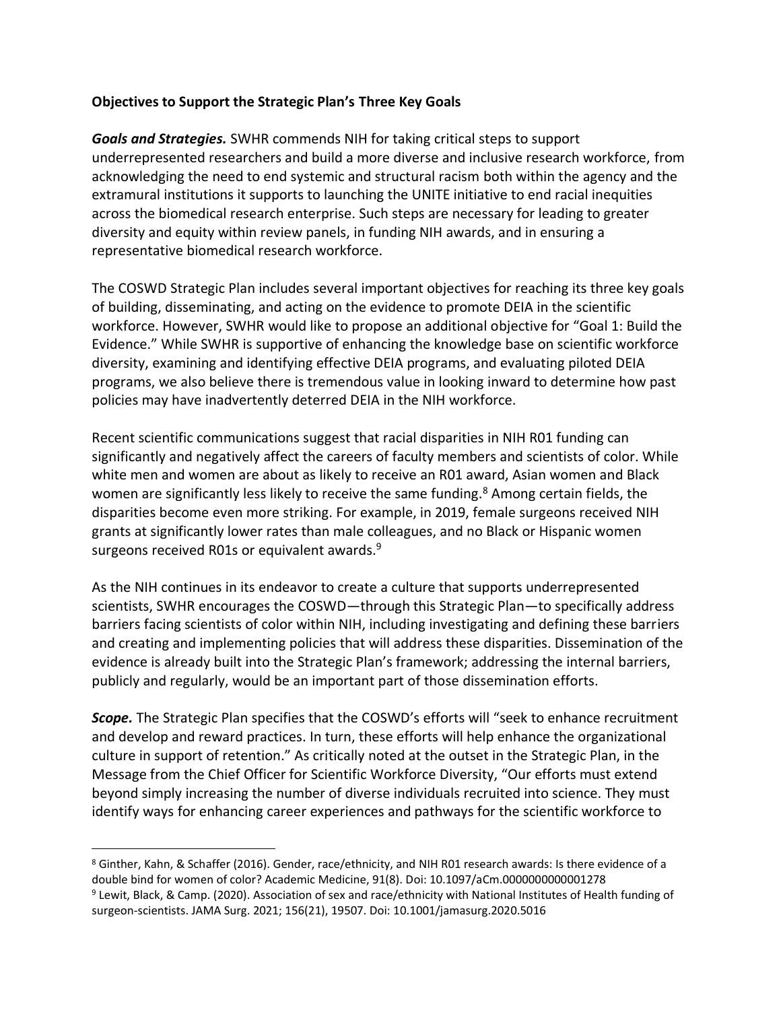## **Objectives to Support the Strategic Plan's Three Key Goals**

*Goals and Strategies.* SWHR commends NIH for taking critical steps to support underrepresented researchers and build a more diverse and inclusive research workforce, from acknowledging the need to end systemic and structural racism both within the agency and the extramural institutions it supports to launching the UNITE initiative to end racial inequities across the biomedical research enterprise. Such steps are necessary for leading to greater diversity and equity within review panels, in funding NIH awards, and in ensuring a representative biomedical research workforce.

The COSWD Strategic Plan includes several important objectives for reaching its three key goals of building, disseminating, and acting on the evidence to promote DEIA in the scientific workforce. However, SWHR would like to propose an additional objective for "Goal 1: Build the Evidence." While SWHR is supportive of enhancing the knowledge base on scientific workforce diversity, examining and identifying effective DEIA programs, and evaluating piloted DEIA programs, we also believe there is tremendous value in looking inward to determine how past policies may have inadvertently deterred DEIA in the NIH workforce.

Recent scientific communications suggest that racial disparities in NIH R01 funding can significantly and negatively affect the careers of faculty members and scientists of color. While white men and women are about as likely to receive an R01 award, Asian women and Black women are significantly less likely to receive the same funding.<sup>8</sup> Among certain fields, the disparities become even more striking. For example, in 2019, female surgeons received NIH grants at significantly lower rates than male colleagues, and no Black or Hispanic women surgeons received R01s or equivalent awards.<sup>9</sup>

As the NIH continues in its endeavor to create a culture that supports underrepresented scientists, SWHR encourages the COSWD—through this Strategic Plan—to specifically address barriers facing scientists of color within NIH, including investigating and defining these barriers and creating and implementing policies that will address these disparities. Dissemination of the evidence is already built into the Strategic Plan's framework; addressing the internal barriers, publicly and regularly, would be an important part of those dissemination efforts.

*Scope.* The Strategic Plan specifies that the COSWD's efforts will "seek to enhance recruitment and develop and reward practices. In turn, these efforts will help enhance the organizational culture in support of retention." As critically noted at the outset in the Strategic Plan, in the Message from the Chief Officer for Scientific Workforce Diversity, "Our efforts must extend beyond simply increasing the number of diverse individuals recruited into science. They must identify ways for enhancing career experiences and pathways for the scientific workforce to

<sup>8</sup> Ginther, Kahn, & Schaffer (2016). Gender, race/ethnicity, and NIH R01 research awards: Is there evidence of a double bind for women of color? Academic Medicine, 91(8). Doi: 10.1097/aCm.0000000000001278

<sup>9</sup> Lewit, Black, & Camp. (2020). Association of sex and race/ethnicity with National Institutes of Health funding of surgeon-scientists. JAMA Surg. 2021; 156(21), 19507. Doi: 10.1001/jamasurg.2020.5016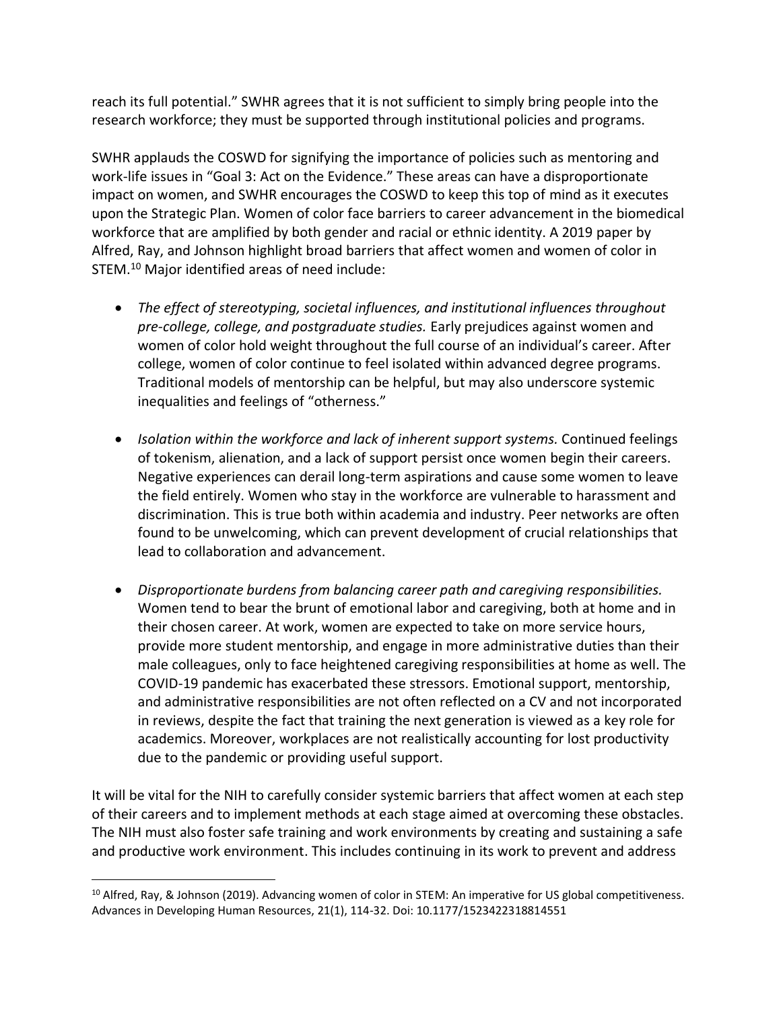reach its full potential." SWHR agrees that it is not sufficient to simply bring people into the research workforce; they must be supported through institutional policies and programs.

SWHR applauds the COSWD for signifying the importance of policies such as mentoring and work-life issues in "Goal 3: Act on the Evidence." These areas can have a disproportionate impact on women, and SWHR encourages the COSWD to keep this top of mind as it executes upon the Strategic Plan. Women of color face barriers to career advancement in the biomedical workforce that are amplified by both gender and racial or ethnic identity. A 2019 paper by Alfred, Ray, and Johnson highlight broad barriers that affect women and women of color in STEM.<sup>10</sup> Major identified areas of need include:

- *The effect of stereotyping, societal influences, and institutional influences throughout pre-college, college, and postgraduate studies.* Early prejudices against women and women of color hold weight throughout the full course of an individual's career. After college, women of color continue to feel isolated within advanced degree programs. Traditional models of mentorship can be helpful, but may also underscore systemic inequalities and feelings of "otherness."
- *Isolation within the workforce and lack of inherent support systems.* Continued feelings of tokenism, alienation, and a lack of support persist once women begin their careers. Negative experiences can derail long-term aspirations and cause some women to leave the field entirely. Women who stay in the workforce are vulnerable to harassment and discrimination. This is true both within academia and industry. Peer networks are often found to be unwelcoming, which can prevent development of crucial relationships that lead to collaboration and advancement.
- *Disproportionate burdens from balancing career path and caregiving responsibilities.*  Women tend to bear the brunt of emotional labor and caregiving, both at home and in their chosen career. At work, women are expected to take on more service hours, provide more student mentorship, and engage in more administrative duties than their male colleagues, only to face heightened caregiving responsibilities at home as well. The COVID-19 pandemic has exacerbated these stressors. Emotional support, mentorship, and administrative responsibilities are not often reflected on a CV and not incorporated in reviews, despite the fact that training the next generation is viewed as a key role for academics. Moreover, workplaces are not realistically accounting for lost productivity due to the pandemic or providing useful support.

It will be vital for the NIH to carefully consider systemic barriers that affect women at each step of their careers and to implement methods at each stage aimed at overcoming these obstacles. The NIH must also foster safe training and work environments by creating and sustaining a safe and productive work environment. This includes continuing in its work to prevent and address

<sup>&</sup>lt;sup>10</sup> Alfred, Ray, & Johnson (2019). Advancing women of color in STEM: An imperative for US global competitiveness. Advances in Developing Human Resources, 21(1), 114-32. Doi: 10.1177/1523422318814551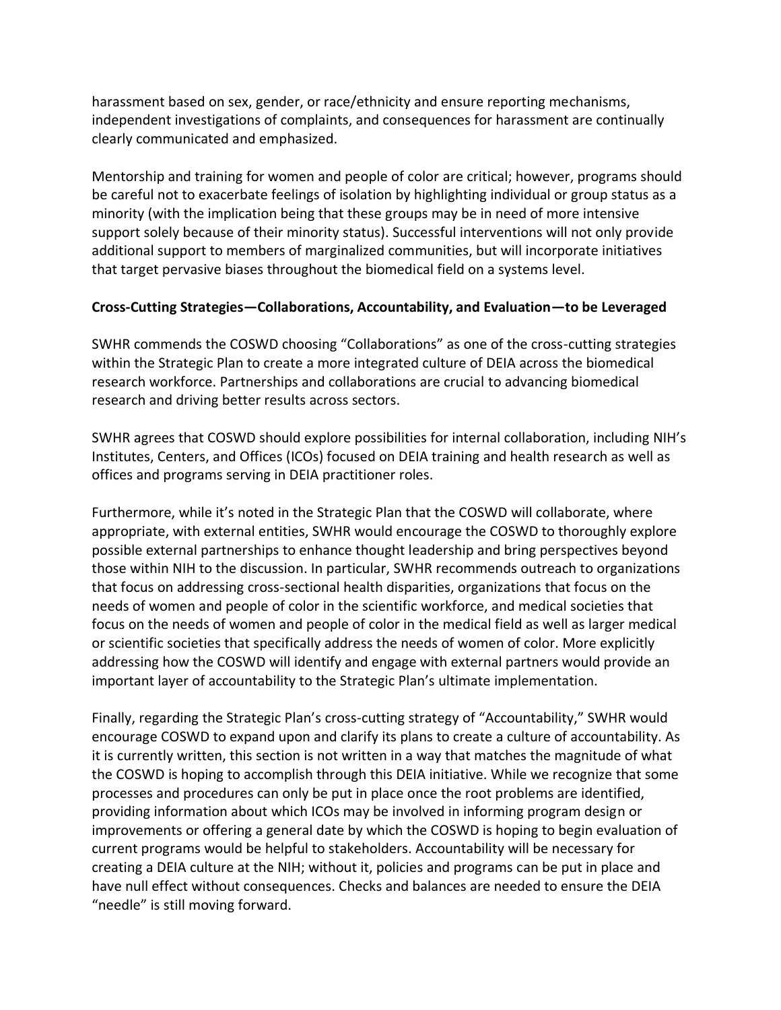harassment based on sex, gender, or race/ethnicity and ensure reporting mechanisms, independent investigations of complaints, and consequences for harassment are continually clearly communicated and emphasized.

Mentorship and training for women and people of color are critical; however, programs should be careful not to exacerbate feelings of isolation by highlighting individual or group status as a minority (with the implication being that these groups may be in need of more intensive support solely because of their minority status). Successful interventions will not only provide additional support to members of marginalized communities, but will incorporate initiatives that target pervasive biases throughout the biomedical field on a systems level.

## **Cross-Cutting Strategies—Collaborations, Accountability, and Evaluation—to be Leveraged**

SWHR commends the COSWD choosing "Collaborations" as one of the cross-cutting strategies within the Strategic Plan to create a more integrated culture of DEIA across the biomedical research workforce. Partnerships and collaborations are crucial to advancing biomedical research and driving better results across sectors.

SWHR agrees that COSWD should explore possibilities for internal collaboration, including NIH's Institutes, Centers, and Offices (ICOs) focused on DEIA training and health research as well as offices and programs serving in DEIA practitioner roles.

Furthermore, while it's noted in the Strategic Plan that the COSWD will collaborate, where appropriate, with external entities, SWHR would encourage the COSWD to thoroughly explore possible external partnerships to enhance thought leadership and bring perspectives beyond those within NIH to the discussion. In particular, SWHR recommends outreach to organizations that focus on addressing cross-sectional health disparities, organizations that focus on the needs of women and people of color in the scientific workforce, and medical societies that focus on the needs of women and people of color in the medical field as well as larger medical or scientific societies that specifically address the needs of women of color. More explicitly addressing how the COSWD will identify and engage with external partners would provide an important layer of accountability to the Strategic Plan's ultimate implementation.

Finally, regarding the Strategic Plan's cross-cutting strategy of "Accountability," SWHR would encourage COSWD to expand upon and clarify its plans to create a culture of accountability. As it is currently written, this section is not written in a way that matches the magnitude of what the COSWD is hoping to accomplish through this DEIA initiative. While we recognize that some processes and procedures can only be put in place once the root problems are identified, providing information about which ICOs may be involved in informing program design or improvements or offering a general date by which the COSWD is hoping to begin evaluation of current programs would be helpful to stakeholders. Accountability will be necessary for creating a DEIA culture at the NIH; without it, policies and programs can be put in place and have null effect without consequences. Checks and balances are needed to ensure the DEIA "needle" is still moving forward.